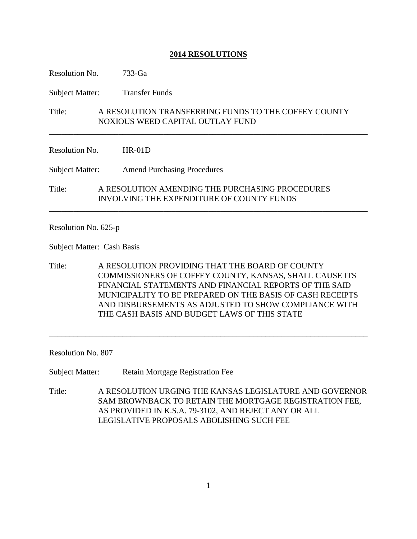## **2014 RESOLUTIONS**

Resolution No. 733-Ga

Subject Matter: Transfer Funds

Title: A RESOLUTION TRANSFERRING FUNDS TO THE COFFEY COUNTY NOXIOUS WEED CAPITAL OUTLAY FUND

\_\_\_\_\_\_\_\_\_\_\_\_\_\_\_\_\_\_\_\_\_\_\_\_\_\_\_\_\_\_\_\_\_\_\_\_\_\_\_\_\_\_\_\_\_\_\_\_\_\_\_\_\_\_\_\_\_\_\_\_\_\_\_\_\_\_\_\_\_\_\_\_\_\_\_\_\_\_

\_\_\_\_\_\_\_\_\_\_\_\_\_\_\_\_\_\_\_\_\_\_\_\_\_\_\_\_\_\_\_\_\_\_\_\_\_\_\_\_\_\_\_\_\_\_\_\_\_\_\_\_\_\_\_\_\_\_\_\_\_\_\_\_\_\_\_\_\_\_\_\_\_\_\_\_\_\_

Resolution No. HR-01D

Subject Matter: Amend Purchasing Procedures

Title: A RESOLUTION AMENDING THE PURCHASING PROCEDURES INVOLVING THE EXPENDITURE OF COUNTY FUNDS

Resolution No. 625-p

Subject Matter: Cash Basis

Title: A RESOLUTION PROVIDING THAT THE BOARD OF COUNTY COMMISSIONERS OF COFFEY COUNTY, KANSAS, SHALL CAUSE ITS FINANCIAL STATEMENTS AND FINANCIAL REPORTS OF THE SAID MUNICIPALITY TO BE PREPARED ON THE BASIS OF CASH RECEIPTS AND DISBURSEMENTS AS ADJUSTED TO SHOW COMPLIANCE WITH THE CASH BASIS AND BUDGET LAWS OF THIS STATE

\_\_\_\_\_\_\_\_\_\_\_\_\_\_\_\_\_\_\_\_\_\_\_\_\_\_\_\_\_\_\_\_\_\_\_\_\_\_\_\_\_\_\_\_\_\_\_\_\_\_\_\_\_\_\_\_\_\_\_\_\_\_\_\_\_\_\_\_\_\_\_\_\_\_\_\_\_\_

Resolution No. 807

Subject Matter: Retain Mortgage Registration Fee

Title: A RESOLUTION URGING THE KANSAS LEGISLATURE AND GOVERNOR SAM BROWNBACK TO RETAIN THE MORTGAGE REGISTRATION FEE, AS PROVIDED IN K.S.A. 79-3102, AND REJECT ANY OR ALL LEGISLATIVE PROPOSALS ABOLISHING SUCH FEE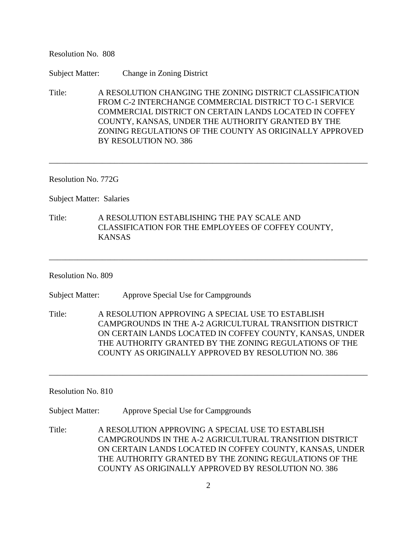Resolution No. 808

Subject Matter: Change in Zoning District

Title: A RESOLUTION CHANGING THE ZONING DISTRICT CLASSIFICATION FROM C-2 INTERCHANGE COMMERCIAL DISTRICT TO C-1 SERVICE COMMERCIAL DISTRICT ON CERTAIN LANDS LOCATED IN COFFEY COUNTY, KANSAS, UNDER THE AUTHORITY GRANTED BY THE ZONING REGULATIONS OF THE COUNTY AS ORIGINALLY APPROVED BY RESOLUTION NO. 386

\_\_\_\_\_\_\_\_\_\_\_\_\_\_\_\_\_\_\_\_\_\_\_\_\_\_\_\_\_\_\_\_\_\_\_\_\_\_\_\_\_\_\_\_\_\_\_\_\_\_\_\_\_\_\_\_\_\_\_\_\_\_\_\_\_\_\_\_\_\_\_\_\_\_\_\_\_\_

Resolution No. 772G

Subject Matter: Salaries

Title: A RESOLUTION ESTABLISHING THE PAY SCALE AND CLASSIFICATION FOR THE EMPLOYEES OF COFFEY COUNTY, KANSAS

Resolution No. 809

Subject Matter: Approve Special Use for Campgrounds

Title: A RESOLUTION APPROVING A SPECIAL USE TO ESTABLISH CAMPGROUNDS IN THE A-2 AGRICULTURAL TRANSITION DISTRICT ON CERTAIN LANDS LOCATED IN COFFEY COUNTY, KANSAS, UNDER THE AUTHORITY GRANTED BY THE ZONING REGULATIONS OF THE COUNTY AS ORIGINALLY APPROVED BY RESOLUTION NO. 386

\_\_\_\_\_\_\_\_\_\_\_\_\_\_\_\_\_\_\_\_\_\_\_\_\_\_\_\_\_\_\_\_\_\_\_\_\_\_\_\_\_\_\_\_\_\_\_\_\_\_\_\_\_\_\_\_\_\_\_\_\_\_\_\_\_\_\_\_\_\_\_\_\_\_\_\_\_\_

\_\_\_\_\_\_\_\_\_\_\_\_\_\_\_\_\_\_\_\_\_\_\_\_\_\_\_\_\_\_\_\_\_\_\_\_\_\_\_\_\_\_\_\_\_\_\_\_\_\_\_\_\_\_\_\_\_\_\_\_\_\_\_\_\_\_\_\_\_\_\_\_\_\_\_\_\_\_

Resolution No. 810

Subject Matter: Approve Special Use for Campgrounds

Title: A RESOLUTION APPROVING A SPECIAL USE TO ESTABLISH CAMPGROUNDS IN THE A-2 AGRICULTURAL TRANSITION DISTRICT ON CERTAIN LANDS LOCATED IN COFFEY COUNTY, KANSAS, UNDER THE AUTHORITY GRANTED BY THE ZONING REGULATIONS OF THE COUNTY AS ORIGINALLY APPROVED BY RESOLUTION NO. 386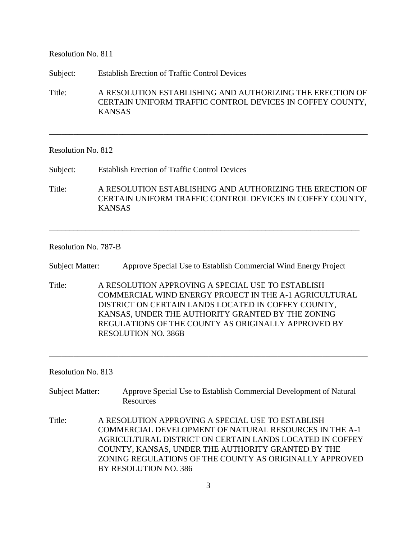Resolution No. 811

Subject: Establish Erection of Traffic Control Devices

Title: A RESOLUTION ESTABLISHING AND AUTHORIZING THE ERECTION OF CERTAIN UNIFORM TRAFFIC CONTROL DEVICES IN COFFEY COUNTY, KANSAS

\_\_\_\_\_\_\_\_\_\_\_\_\_\_\_\_\_\_\_\_\_\_\_\_\_\_\_\_\_\_\_\_\_\_\_\_\_\_\_\_\_\_\_\_\_\_\_\_\_\_\_\_\_\_\_\_\_\_\_\_\_\_\_\_\_\_\_\_\_\_\_\_\_\_\_\_\_\_

## Resolution No. 812

Subject: Establish Erection of Traffic Control Devices

Title: A RESOLUTION ESTABLISHING AND AUTHORIZING THE ERECTION OF CERTAIN UNIFORM TRAFFIC CONTROL DEVICES IN COFFEY COUNTY, KANSAS

\_\_\_\_\_\_\_\_\_\_\_\_\_\_\_\_\_\_\_\_\_\_\_\_\_\_\_\_\_\_\_\_\_\_\_\_\_\_\_\_\_\_\_\_\_\_\_\_\_\_\_\_\_\_\_\_\_\_\_\_\_\_\_\_\_\_\_\_\_\_\_\_\_\_\_\_

## Resolution No. 787-B

Subject Matter: Approve Special Use to Establish Commercial Wind Energy Project

Title: A RESOLUTION APPROVING A SPECIAL USE TO ESTABLISH COMMERCIAL WIND ENERGY PROJECT IN THE A-1 AGRICULTURAL DISTRICT ON CERTAIN LANDS LOCATED IN COFFEY COUNTY, KANSAS, UNDER THE AUTHORITY GRANTED BY THE ZONING REGULATIONS OF THE COUNTY AS ORIGINALLY APPROVED BY RESOLUTION NO. 386B

\_\_\_\_\_\_\_\_\_\_\_\_\_\_\_\_\_\_\_\_\_\_\_\_\_\_\_\_\_\_\_\_\_\_\_\_\_\_\_\_\_\_\_\_\_\_\_\_\_\_\_\_\_\_\_\_\_\_\_\_\_\_\_\_\_\_\_\_\_\_\_\_\_\_\_\_\_\_

Resolution No. 813

- Subject Matter: Approve Special Use to Establish Commercial Development of Natural Resources
- Title: A RESOLUTION APPROVING A SPECIAL USE TO ESTABLISH COMMERCIAL DEVELOPMENT OF NATURAL RESOURCES IN THE A-1 AGRICULTURAL DISTRICT ON CERTAIN LANDS LOCATED IN COFFEY COUNTY, KANSAS, UNDER THE AUTHORITY GRANTED BY THE ZONING REGULATIONS OF THE COUNTY AS ORIGINALLY APPROVED BY RESOLUTION NO. 386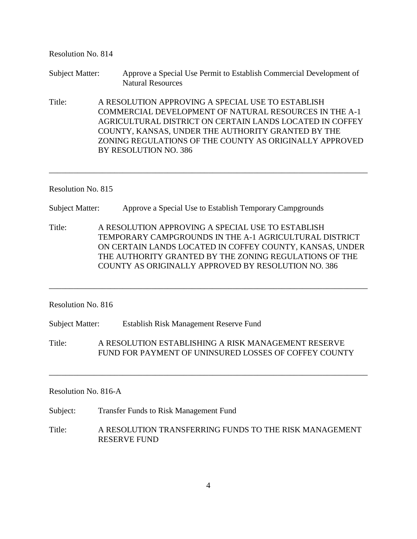| Resolution No. 814     |                                                                                                                                                                                                                                                                                                 |                                                                                                                                                                                                                                                                                                                          |  |
|------------------------|-------------------------------------------------------------------------------------------------------------------------------------------------------------------------------------------------------------------------------------------------------------------------------------------------|--------------------------------------------------------------------------------------------------------------------------------------------------------------------------------------------------------------------------------------------------------------------------------------------------------------------------|--|
| <b>Subject Matter:</b> |                                                                                                                                                                                                                                                                                                 | Approve a Special Use Permit to Establish Commercial Development of<br><b>Natural Resources</b>                                                                                                                                                                                                                          |  |
| Title:                 |                                                                                                                                                                                                                                                                                                 | A RESOLUTION APPROVING A SPECIAL USE TO ESTABLISH<br><b>COMMERCIAL DEVELOPMENT OF NATURAL RESOURCES IN THE A-1</b><br>AGRICULTURAL DISTRICT ON CERTAIN LANDS LOCATED IN COFFEY<br>COUNTY, KANSAS, UNDER THE AUTHORITY GRANTED BY THE<br>ZONING REGULATIONS OF THE COUNTY AS ORIGINALLY APPROVED<br>BY RESOLUTION NO. 386 |  |
| Resolution No. 815     |                                                                                                                                                                                                                                                                                                 |                                                                                                                                                                                                                                                                                                                          |  |
| <b>Subject Matter:</b> |                                                                                                                                                                                                                                                                                                 | Approve a Special Use to Establish Temporary Campgrounds                                                                                                                                                                                                                                                                 |  |
| Title:                 | A RESOLUTION APPROVING A SPECIAL USE TO ESTABLISH<br>TEMPORARY CAMPGROUNDS IN THE A-1 AGRICULTURAL DISTRICT<br>ON CERTAIN LANDS LOCATED IN COFFEY COUNTY, KANSAS, UNDER<br>THE AUTHORITY GRANTED BY THE ZONING REGULATIONS OF THE<br><b>COUNTY AS ORIGINALLY APPROVED BY RESOLUTION NO. 386</b> |                                                                                                                                                                                                                                                                                                                          |  |
| Resolution No. 816     |                                                                                                                                                                                                                                                                                                 |                                                                                                                                                                                                                                                                                                                          |  |
| <b>Subject Matter:</b> |                                                                                                                                                                                                                                                                                                 | Establish Risk Management Reserve Fund                                                                                                                                                                                                                                                                                   |  |
| Title:                 |                                                                                                                                                                                                                                                                                                 | A RESOLUTION ESTABLISHING A RISK MANAGEMENT RESERVE<br>FUND FOR PAYMENT OF UNINSURED LOSSES OF COFFEY COUNTY                                                                                                                                                                                                             |  |
| Resolution No. 816-A   |                                                                                                                                                                                                                                                                                                 |                                                                                                                                                                                                                                                                                                                          |  |
| Subject:               | <b>Transfer Funds to Risk Management Fund</b>                                                                                                                                                                                                                                                   |                                                                                                                                                                                                                                                                                                                          |  |
| Title:                 | A RESOLUTION TRANSFERRING FUNDS TO THE RISK MANAGEMENT<br><b>RESERVE FUND</b>                                                                                                                                                                                                                   |                                                                                                                                                                                                                                                                                                                          |  |